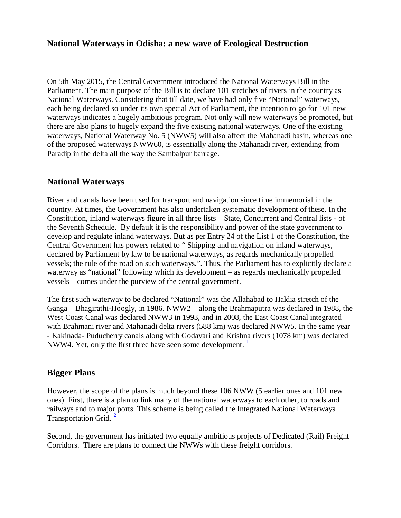## **National Waterways in Odisha: a new wave of Ecological Destruction**

On 5th May 2015, the Central Government introduced the National Waterways Bill in the Parliament. The main purpose of the Bill is to declare 101 stretches of rivers in the country as National Waterways. Considering that till date, we have had only five "National" waterways, each being declared so under its own special Act of Parliament, the intention to go for 101 new waterways indicates a hugely ambitious program. Not only will new waterways be promoted, but there are also plans to hugely expand the five existing national waterways. One of the existing waterways, National Waterway No. 5 (NWW5) will also affect the Mahanadi basin, whereas one of the proposed waterways NWW60, is essentially along the Mahanadi river, extending from Paradip in the delta all the way the Sambalpur barrage.

#### **National Waterways**

River and canals have been used for transport and navigation since time immemorial in the country. At times, the Government has also undertaken systematic development of these. In the Constitution, inland waterways figure in all three lists – State, Concurrent and Central lists - of the Seventh Schedule. By default it is the responsibility and power of the state government to develop and regulate inland waterways. But as per Entry 24 of the List 1 of the Constitution, the Central Government has powers related to " Shipping and navigation on inland waterways, declared by Parliament by law to be national waterways, as regards mechanically propelled vessels; the rule of the road on such waterways.". Thus, the Parliament has to explicitly declare a waterway as "national" following which its development – as regards mechanically propelled vessels – comes under the purview of the central government.

The first such waterway to be declared "National" was the Allahabad to Haldia stretch of the Ganga – Bhagirathi-Hoogly, in 1986. NWW2 – along the Brahmaputra was declared in 1988, the West Coast Canal was declared NWW3 in 1993, and in 2008, the East Coast Canal integrated with Brahmani river and Mahanadi delta rivers (588 km) was declared NWW5. In the same year - Kakinada- Puducherry canals along with Godavari and Krishna rivers (1078 km) was declared NWW4. Yet, only the first three have seen some development.  $\frac{1}{2}$ 

## **Bigger Plans**

However, the scope of the plans is much beyond these 106 NWW (5 earlier ones and 101 new ones). First, there is a plan to link many of the national waterways to each other, to roads and railways and to major ports. This scheme is being called the Integrated National Waterways Transportation Grid.  $\frac{2}{3}$ 

Second, the government has initiated two equally ambitious projects of Dedicated (Rail) Freight Corridors. There are plans to connect the NWWs with these freight corridors.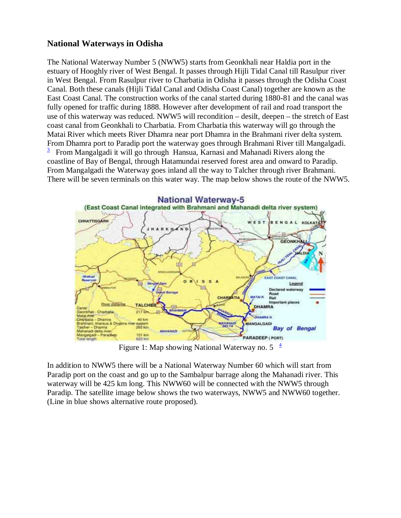## **National Waterways in Odisha**

The National Waterway Number 5 (NWW5) starts from Geonkhali near Haldia port in the estuary of Hooghly river of West Bengal. It passes through Hijli Tidal Canal till Rasulpur river in West Bengal. From Rasulpur river to Charbatia in Odisha it passes through the Odisha Coast Canal. Both these canals (Hijli Tidal Canal and Odisha Coast Canal) together are known as the East Coast Canal. The construction works of the canal started during 1880-81 and the canal was fully opened for traffic during 1888. However after development of rail and road transport the use of this waterway was reduced. NWW5 will recondition – desilt, deepen – the stretch of East coast canal from Geonkhali to Charbatia. From Charbatia this waterway will go through the Matai River which meets River Dhamra near port Dhamra in the Brahmani river delta system. From Dhamra port to Paradip port the waterway goes through Brahmani River till Mangalgadi. 3 From Mangalgadi it will go through Hansua, Karnasi and Mahanadi Rivers along the coastline of Bay of Bengal, through Hatamundai reserved forest area and onward to Paradip. From Mangalgadi the Waterway goes inland all the way to Talcher through river Brahmani. There will be seven terminals on this water way. The map below shows the route of the NWW5.



Figure 1: Map showing National Waterway no.  $5<sup>4</sup>$ 

In addition to NWW5 there will be a National Waterway Number 60 which will start from Paradip port on the coast and go up to the Sambalpur barrage along the Mahanadi river. This waterway will be 425 km long. This NWW60 will be connected with the NWW5 through Paradip. The satellite image below shows the two waterways, NWW5 and NWW60 together. (Line in blue shows alternative route proposed).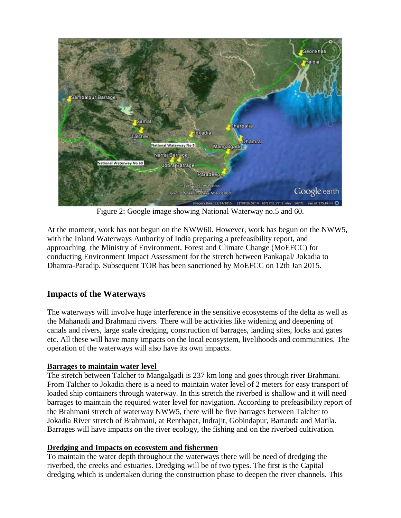

Figure 2: Google image showing National Waterway no.5 and 60.

At the moment, work has not begun on the NWW60. However, work has begun on the NWW5, with the Inland Waterways Authority of India preparing a prefeasibility report, and approaching the Ministry of Environment, Forest and Climate Change (MoEFCC) for conducting Environment Impact Assessment for the stretch between Pankapal/ Jokadia to Dhamra-Paradip. Subsequent TOR has been sanctioned by MoEFCC on 12th Jan 2015.

# **Impacts of the Waterways**

The waterways will involve huge interference in the sensitive ecosystems of the delta as well as the Mahanadi and Brahmani rivers. There will be activities like widening and deepening of canals and rivers, large scale dredging, construction of barrages, landing sites, locks and gates etc. All these will have many impacts on the local ecosystem, livelihoods and communities. The operation of the waterways will also have its own impacts.

## **Barrages to maintain water level**

The stretch between Talcher to Mangalgadi is 237 km long and goes through river Brahmani. From Talcher to Jokadia there is a need to maintain water level of 2 meters for easy transport of loaded ship containers through waterway. In this stretch the riverbed is shallow and it will need barrages to maintain the required water level for navigation. According to prefeasibility report of the Brahmani stretch of waterway NWW5, there will be five barrages between Talcher to Jokadia River stretch of Brahmani, at Renthapat, Indrajit, Gobindapur, Bartanda and Matila. Barrages will have impacts on the river ecology, the fishing and on the riverbed cultivation.

## **Dredging and Impacts on ecosystem and fishermen**

To maintain the water depth throughout the waterways there will be need of dredging the riverbed, the creeks and estuaries. Dredging will be of two types. The first is the Capital dredging which is undertaken during the construction phase to deepen the river channels. This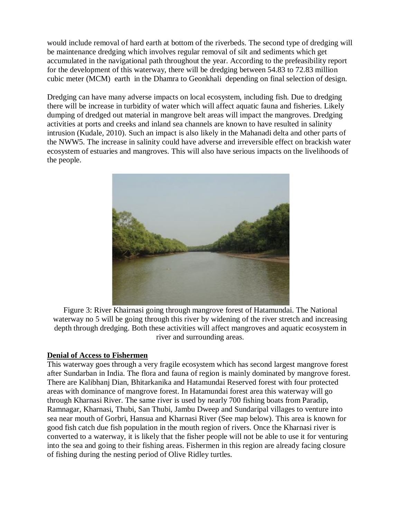would include removal of hard earth at bottom of the riverbeds. The second type of dredging will be maintenance dredging which involves regular removal of silt and sediments which get accumulated in the navigational path throughout the year. According to the prefeasibility report for the development of this waterway, there will be dredging between 54.83 to 72.83 million cubic meter (MCM) earth in the Dhamra to Geonkhali depending on final selection of design.

Dredging can have many adverse impacts on local ecosystem, including fish. Due to dredging there will be increase in turbidity of water which will affect aquatic fauna and fisheries. Likely dumping of dredged out material in mangrove belt areas will impact the mangroves. Dredging activities at ports and creeks and inland sea channels are known to have resulted in salinity intrusion (Kudale, 2010). Such an impact is also likely in the Mahanadi delta and other parts of the NWW5. The increase in salinity could have adverse and irreversible effect on brackish water ecosystem of estuaries and mangroves. This will also have serious impacts on the livelihoods of the people.



Figure 3: River Khairnasi going through mangrove forest of Hatamundai. The National waterway no 5 will be going through this river by widening of the river stretch and increasing depth through dredging. Both these activities will affect mangroves and aquatic ecosystem in river and surrounding areas.

#### **Denial of Access to Fishermen**

This waterway goes through a very fragile ecosystem which has second largest mangrove forest after Sundarban in India. The flora and fauna of region is mainly dominated by mangrove forest. There are Kalibhanj Dian, Bhitarkanika and Hatamundai Reserved forest with four protected areas with dominance of mangrove forest. In Hatamundai forest area this waterway will go through Kharnasi River. The same river is used by nearly 700 fishing boats from Paradip, Ramnagar, Kharnasi, Thubi, San Thubi, Jambu Dweep and Sundaripal villages to venture into sea near mouth of Gorbri, Hansua and Kharnasi River (See map below). This area is known for good fish catch due fish population in the mouth region of rivers. Once the Kharnasi river is converted to a waterway, it is likely that the fisher people will not be able to use it for venturing into the sea and going to their fishing areas. Fishermen in this region are already facing closure of fishing during the nesting period of Olive Ridley turtles.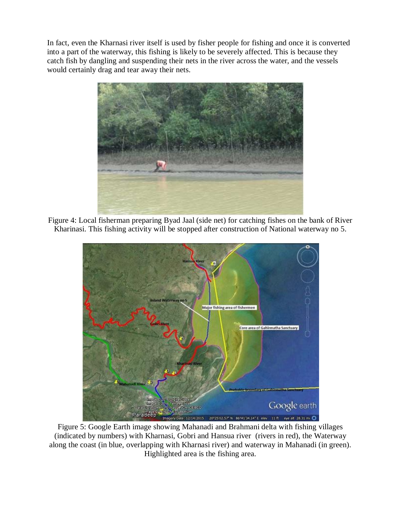In fact, even the Kharnasi river itself is used by fisher people for fishing and once it is converted into a part of the waterway, this fishing is likely to be severely affected. This is because they catch fish by dangling and suspending their nets in the river across the water, and the vessels would certainly drag and tear away their nets.



Figure 4: Local fisherman preparing Byad Jaal (side net) for catching fishes on the bank of River Kharinasi. This fishing activity will be stopped after construction of National waterway no 5.



Figure 5: Google Earth image showing Mahanadi and Brahmani delta with fishing villages (indicated by numbers) with Kharnasi, Gobri and Hansua river (rivers in red), the Waterway along the coast (in blue, overlapping with Kharnasi river) and waterway in Mahanadi (in green). Highlighted area is the fishing area.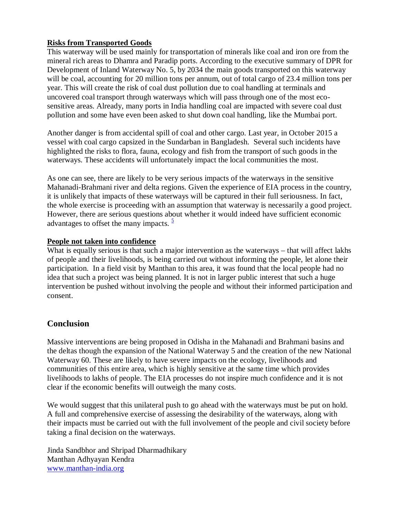## **Risks from Transported Goods**

This waterway will be used mainly for transportation of minerals like coal and iron ore from the mineral rich areas to Dhamra and Paradip ports. According to the executive summary of DPR for Development of Inland Waterway No. 5, by 2034 the main goods transported on this waterway will be coal, accounting for 20 million tons per annum, out of total cargo of 23.4 million tons per year. This will create the risk of coal dust pollution due to coal handling at terminals and uncovered coal transport through waterways which will pass through one of the most ecosensitive areas. Already, many ports in India handling coal are impacted with severe coal dust pollution and some have even been asked to shut down coal handling, like the Mumbai port.

Another danger is from accidental spill of coal and other cargo. Last year, in October 2015 a vessel with coal cargo capsized in the Sundarban in Bangladesh. Several such incidents have highlighted the risks to flora, fauna, ecology and fish from the transport of such goods in the waterways. These accidents will unfortunately impact the local communities the most.

As one can see, there are likely to be very serious impacts of the waterways in the sensitive Mahanadi-Brahmani river and delta regions. Given the experience of EIA process in the country, it is unlikely that impacts of these waterways will be captured in their full seriousness. In fact, the whole exercise is proceeding with an assumption that waterway is necessarily a good project. However, there are serious questions about whether it would indeed have sufficient economic advantages to offset the many impacts.  $\frac{5}{5}$ 

#### **People not taken into confidence**

What is equally serious is that such a major intervention as the waterways – that will affect lakhs of people and their livelihoods, is being carried out without informing the people, let alone their participation. In a field visit by Manthan to this area, it was found that the local people had no idea that such a project was being planned. It is not in larger public interest that such a huge intervention be pushed without involving the people and without their informed participation and consent.

## **Conclusion**

Massive interventions are being proposed in Odisha in the Mahanadi and Brahmani basins and the deltas though the expansion of the National Waterway 5 and the creation of the new National Waterway 60. These are likely to have severe impacts on the ecology, livelihoods and communities of this entire area, which is highly sensitive at the same time which provides livelihoods to lakhs of people. The EIA processes do not inspire much confidence and it is not clear if the economic benefits will outweigh the many costs.

We would suggest that this unilateral push to go ahead with the waterways must be put on hold. A full and comprehensive exercise of assessing the desirability of the waterways, along with their impacts must be carried out with the full involvement of the people and civil society before taking a final decision on the waterways.

Jinda Sandbhor and Shripad Dharmadhikary Manthan Adhyayan Kendra www.manthan-india.org